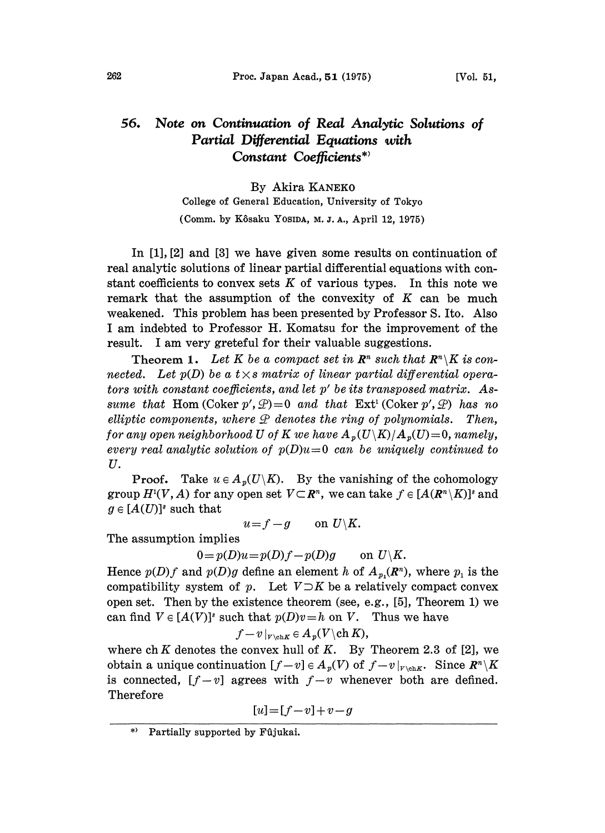## 56. Note on Continuation of Real Analytic Solutions of Partial Differential Equations with Constant Coefficients\*

## By Akira KANEKO

College of General Education, University of Tokyo

(Comm. by K.6saku YOSIDA, M. J. A., April 12, 1975)

In [1], [2] and [3] we have given some results on continuation of real analytic solutions of linear partial differential equations with constant coefficients to convex sets  $K$  of various types. In this note we remark that the assumption of the convexity of  $K$  can be much weakened. This problem has been presented by Professor S. Ito. Also <sup>I</sup> am indebted to Professor H. Komatsu for the improvement of the result. <sup>I</sup> am very greteful for their valuable suggestions.

Theorem 1. Let K be a compact set in  $\mathbb{R}^n$  such that  $\mathbb{R}^n\setminus K$  is connected. Let  $p(D)$  be a  $t \times s$  matrix of linear partial differential operators with constant coefficients, and let  $p'$  be its transposed matrix. Assume that Hom (Coker  $p', \mathcal{D} = 0$  and that  $Ext^1$  (Coker  $p', \mathcal{D}$ ) has no elliptic components, where  $\mathcal P$  denotes the ring of polynomials. Then, for any open neighborhood U of K we have  $A_p(U\backslash K)/A_p(U)=0$ , namely, every real analytic solution of  $p(D)u=0$  can be uniquely continued to U.

**Proof.** Take  $u \in A_n(U \setminus K)$ . By the vanishing of the cohomology group  $H^1(V, A)$  for any open set  $V \subset \mathbb{R}^n$ , we can take  $f \in [A(\mathbb{R}^n \setminus K)]^s$  and  $g \in [A(U)]^s$  such that

 $u = f - g$  on  $U \backslash K$ .

The assumption implies

 $0=p(D)u=p(D)f-p(D)g$  on  $U\backslash K$ .

Hence  $p(D)f$  and  $p(D)g$  define an element h of  $A_{p}(R^n)$ , where  $p_1$  is the compatibility system of p. Let  $V\supset K$  be a relatively compact convex open set. Then by the existence theorem (see, e.g., [5], Theorem 1) we can find  $V \in [A(V)]^s$  such that  $p(D)v=h$  on V. Thus we have

$$
f-v|_{V\backslash\mathrm{ch} K}\in A_p(V\backslash\mathrm{ch}\, K),
$$

where ch K denotes the convex hull of K. By Theorem 2.3 of [2], we obtain a unique continuation  $[f-v] \in A_p(V)$  of  $f-v|_{V\backslash {\rm ch}K}$ . Since  $R^n\backslash K$ is connected,  $[f-v]$  agrees with  $f-v$  whenever both are defined. Therefore

$$
[u]{=}[f{-}v]{+}v{-}g
$$

Partially supported by Fûjukai.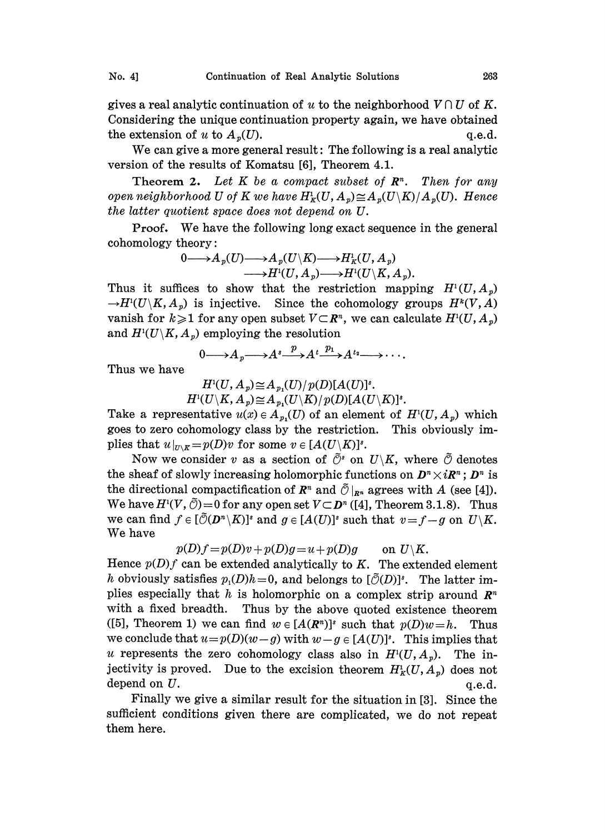gives a real analytic continuation of u to the neighborhood  $V \cap U$  of K. Considering the unique continuation property again, we have obtained the extension of u to  $A_p(U)$ . q.e.d.

We can give <sup>a</sup> more general result: The following is <sup>a</sup> real analytic version of the results of Komatsu [6], Theorem 4.1.

**Theorem 2.** Let K be a compact subset of  $\mathbb{R}^n$ . Then for any open neighborhood U of K we have  $H^1_K(U, A_p) \cong A_p(U\backslash K)/A_p(U)$ . Hence the latter quotient space does not depend on  $U$ .

Proof. We have the following long exact sequence in the general cohomology theory:

$$
\begin{aligned} 0{\longrightarrow} A_p(U){\longrightarrow} A_p(U\backslash K){\longrightarrow} H_{\mathbb{K}}^1(U,A_p)\\ {\longrightarrow} H^1(U,A_p){\longrightarrow} H^1(U\backslash K,A_p).\end{aligned}
$$

Thus it suffices to show that the restriction mapping  $H^1(U,A_p)$  $\rightarrow H^1(U\backslash K, A_p)$  is injective. Since the cohomology groups  $H^k(V, A)$ vanish for  $k\geqslant 1$  for any open subset  $V\subset\mathbb{R}^n$ , we can calculate  $H^1(U, A_p)$ and  $H^1(U \backslash K, A_p)$  employing the resolution

$$
0 \longrightarrow A_p \longrightarrow A^s \longrightarrow A^t \longrightarrow A^{t_2} \longrightarrow \cdots
$$

Thus we have

 $H^1(U, A_p) \cong A_{p_1}(U)/p(D)[A(U)]^s.$  $H^1(U\backslash K, A_p)\cong A_{p_1}(U\backslash K)/p(D)[A(U\backslash K)]^s.$ 

Take a representative  $u(x) \in A_{p}(U)$  of an element of  $H^1(U, A_p)$  which goes to zero cohomology class by the restriction. This obviously implies that  $u|_{U\setminus K}=p(D)v$  for some  $v\in [A(U\setminus K)]^s$ .

Now we consider v as a section of  $\tilde{\mathcal{O}}^s$  on  $U\setminus K$ , where  $\tilde{\mathcal{O}}$  denotes the sheaf of slowly increasing holomorphic functions on  $D<sup>n</sup> \times i\mathbb{R}<sup>n</sup>$ ;  $D<sup>n</sup>$  is the directional compactification of  $\mathbb{R}^n$  and  $\tilde{\mathcal{O}}|_{\mathbb{R}^n}$  agrees with A (see [4]). We have  $H^1(V, \tilde{\mathcal{O}})=0$  for any open set  $V\subset \mathbf{D}^n$  ([4], Theorem 3.1.8). Thus we can find  $f \in [\tilde{\mathcal{O}}(D^n \backslash K)]^s$  and  $g \in [A(U)]^s$  such that  $v=f-g$  on  $U\backslash K$ . We have

$$
p(D)f = p(D)v + p(D)g = u + p(D)g \quad \text{on } U \backslash K.
$$

Hence  $p(D)f$  can be extended analytically to K. The extended element h obviously satisfies  $p_1(D)h=0$ , and belongs to  $[\tilde{\mathcal{O}}(D)]^s$ . The latter implies especially that h is holomorphic on a complex strip around  $\mathbb{R}^n$ with a fixed breadth. Thus by the above quoted existence theorem ([5], Theorem 1) we can find  $w \in [A(\mathbb{R}^n)]^s$  such that  $p(D)w=h$ . Thus we conclude that  $u=p(D)(w-g)$  with  $w-g\in [A(U)]^s$ . This implies that u represents the zero cohomology class also in  $H<sup>1</sup>(U, A<sub>p</sub>)$ . The injectivity is proved. Due to the excision theorem  $H^1_K(U, A_p)$  does not depend on  $U$ .  $q.e.d.$ 

Finally we give a similar result for the situation in [3]. Since the sufficient conditions given there are complicated, we do not repeat them here.